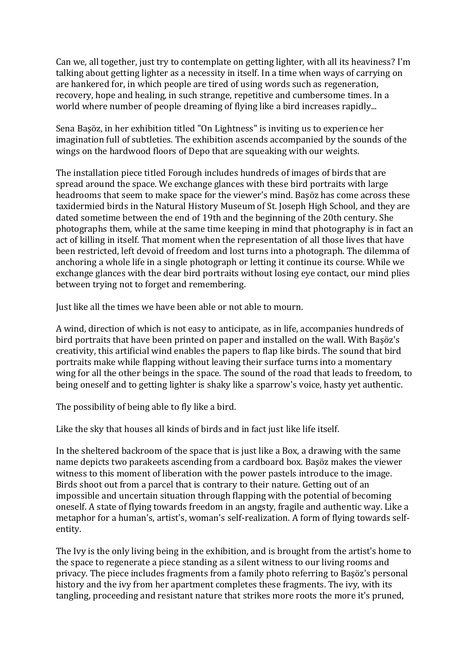Can we, all together, just try to contemplate on getting lighter, with all its heaviness? I'm talking about getting lighter as a necessity in itself. In a time when ways of carrying on are hankered for, in which people are tired of using words such as regeneration, recovery, hope and healing, in such strange, repetitive and cumbersome times. In a world where number of people dreaming of flying like a bird increases rapidly...

Sena Başöz, in her exhibition titled "On Lightness" is inviting us to experience her imagination full of subtleties. The exhibition ascends accompanied by the sounds of the wings on the hardwood floors of Depo that are squeaking with our weights.

The installation piece titled Forough includes hundreds of images of birds that are spread around the space. We exchange glances with these bird portraits with large headrooms that seem to make space for the viewer's mind. Başöz has come across these taxidermied birds in the Natural History Museum of St. Joseph High School, and they are dated sometime between the end of 19th and the beginning of the 20th century. She photographs them, while at the same time keeping in mind that photography is in fact an act of killing in itself. That moment when the representation of all those lives that have been restricted, left devoid of freedom and lost turns into a photograph. The dilemma of anchoring a whole life in a single photograph or letting it continue its course. While we exchange glances with the dear bird portraits without losing eye contact, our mind plies between trying not to forget and remembering.

Just like all the times we have been able or not able to mourn.

A wind, direction of which is not easy to anticipate, as in life, accompanies hundreds of bird portraits that have been printed on paper and installed on the wall. With Başöz's creativity, this artificial wind enables the papers to flap like birds. The sound that bird portraits make while flapping without leaving their surface turns into a momentary wing for all the other beings in the space. The sound of the road that leads to freedom, to being oneself and to getting lighter is shaky like a sparrow's voice, hasty yet authentic.

The possibility of being able to fly like a bird.

Like the sky that houses all kinds of birds and in fact just like life itself.

In the sheltered backroom of the space that is just like a Box, a drawing with the same name depicts two parakeets ascending from a cardboard box. Başöz makes the viewer witness to this moment of liberation with the power pastels introduce to the image. Birds shoot out from a parcel that is contrary to their nature. Getting out of an impossible and uncertain situation through flapping with the potential of becoming oneself. A state of flying towards freedom in an angsty, fragile and authentic way. Like a metaphor for a human's, artist's, woman's self-realization. A form of flying towards selfentity.

The Ivy is the only living being in the exhibition, and is brought from the artist's home to the space to regenerate a piece standing as a silent witness to our living rooms and privacy. The piece includes fragments from a family photo referring to Başöz's personal history and the ivy from her apartment completes these fragments. The ivy, with its tangling, proceeding and resistant nature that strikes more roots the more it's pruned,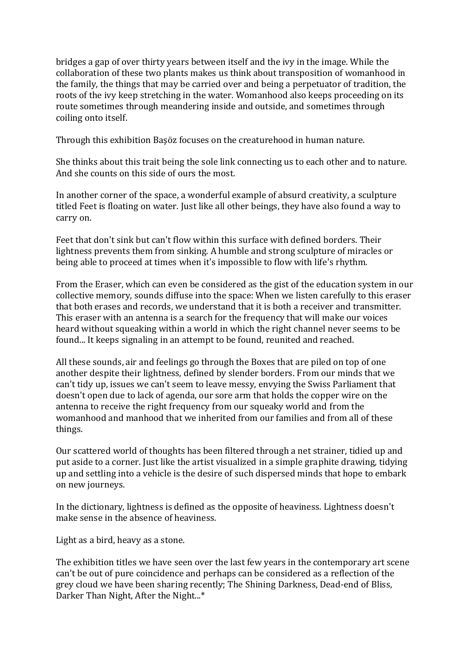bridges a gap of over thirty years between itself and the ivy in the image. While the collaboration of these two plants makes us think about transposition of womanhood in the family, the things that may be carried over and being a perpetuator of tradition, the roots of the ivy keep stretching in the water. Womanhood also keeps proceeding on its route sometimes through meandering inside and outside, and sometimes through coiling onto itself.

Through this exhibition Başöz focuses on the creaturehood in human nature.

She thinks about this trait being the sole link connecting us to each other and to nature. And she counts on this side of ours the most.

In another corner of the space, a wonderful example of absurd creativity, a sculpture titled Feet is floating on water. Just like all other beings, they have also found a way to carry on.

Feet that don't sink but can't flow within this surface with defined borders. Their lightness prevents them from sinking. A humble and strong sculpture of miracles or being able to proceed at times when it's impossible to flow with life's rhythm.

From the Eraser, which can even be considered as the gist of the education system in our collective memory, sounds diffuse into the space: When we listen carefully to this eraser that both erases and records, we understand that it is both a receiver and transmitter. This eraser with an antenna is a search for the frequency that will make our voices heard without squeaking within a world in which the right channel never seems to be found... It keeps signaling in an attempt to be found, reunited and reached.

All these sounds, air and feelings go through the Boxes that are piled on top of one another despite their lightness, defined by slender borders. From our minds that we can't tidy up, issues we can't seem to leave messy, envying the Swiss Parliament that doesn't open due to lack of agenda, our sore arm that holds the copper wire on the antenna to receive the right frequency from our squeaky world and from the womanhood and manhood that we inherited from our families and from all of these things.

Our scattered world of thoughts has been filtered through a net strainer, tidied up and put aside to a corner. Just like the artist visualized in a simple graphite drawing, tidying up and settling into a vehicle is the desire of such dispersed minds that hope to embark on new journeys.

In the dictionary, lightness is defined as the opposite of heaviness. Lightness doesn't make sense in the absence of heaviness.

Light as a bird, heavy as a stone.

The exhibition titles we have seen over the last few years in the contemporary art scene can't be out of pure coincidence and perhaps can be considered as a reflection of the grey cloud we have been sharing recently; The Shining Darkness, Dead-end of Bliss, Darker Than Night, After the Night...\*